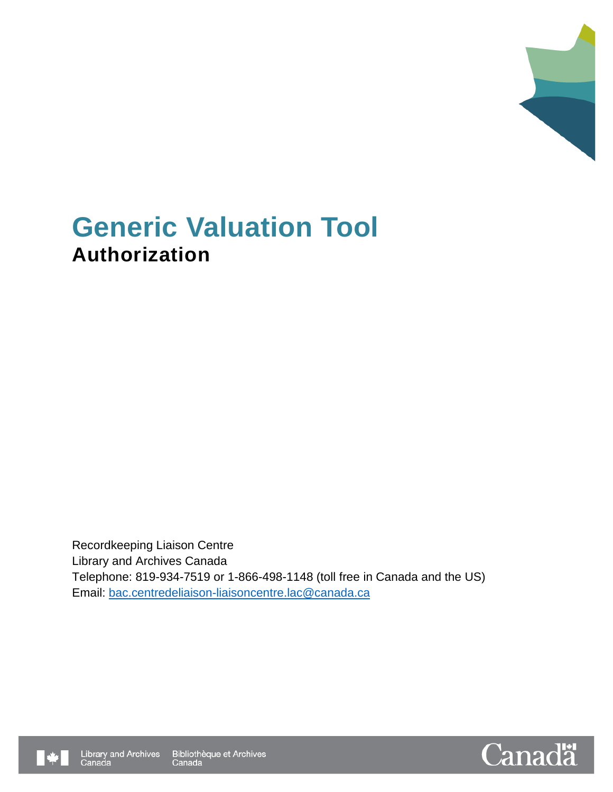

# **Generic Valuation Tool Authorization**

Recordkeeping Liaison Centre Library and Archives Canada Telephone: 819-934-7519 or 1-866-498-1148 (toll free in Canada and the US) Email: [bac.centredeliaison-liaisoncentre.lac@canada.ca](mailto:bac.centredeliaison-liaisoncentre.lac@canada.ca)



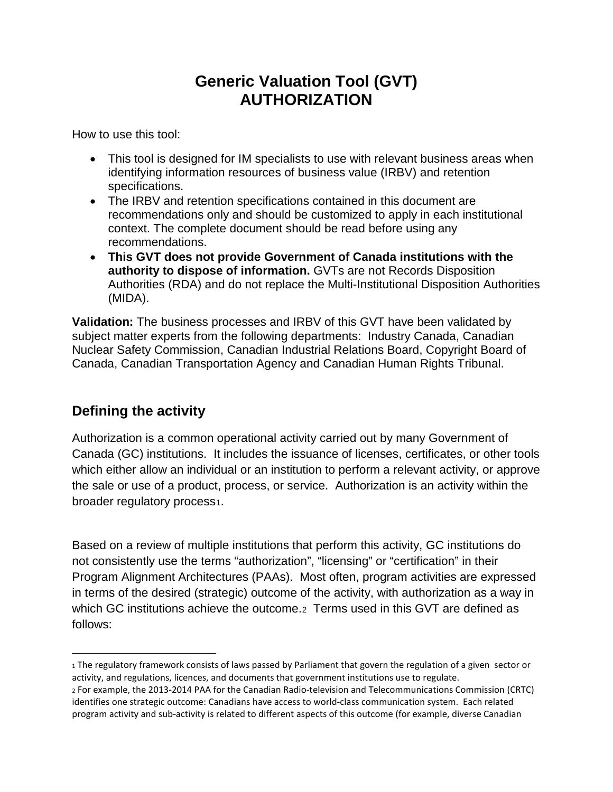### **Generic Valuation Tool (GVT) AUTHORIZATION**

How to use this tool:

- This tool is designed for IM specialists to use with relevant business areas when identifying information resources of business value (IRBV) and retention specifications.
- The IRBV and retention specifications contained in this document are recommendations only and should be customized to apply in each institutional context. The complete document should be read before using any recommendations.
- **This GVT does not provide Government of Canada institutions with the authority to dispose of information.** GVTs are not Records Disposition Authorities (RDA) and do not replace the Multi-Institutional Disposition Authorities (MIDA).

**Validation:** The business processes and IRBV of this GVT have been validated by subject matter experts from the following departments: Industry Canada, Canadian Nuclear Safety Commission, Canadian Industrial Relations Board, Copyright Board of Canada, Canadian Transportation Agency and Canadian Human Rights Tribunal.

### **Defining the activity**

 $\overline{\phantom{a}}$ 

Authorization is a common operational activity carried out by many Government of Canada (GC) institutions. It includes the issuance of licenses, certificates, or other tools which either allow an individual or an institution to perform a relevant activity, or approve the sale or use of a product, process, or service. Authorization is an activity within the broader regulatory process<sub>[1](#page-1-0)</sub>.

Based on a review of multiple institutions that perform this activity, GC institutions do not consistently use the terms "authorization", "licensing" or "certification" in their Program Alignment Architectures (PAAs). Most often, program activities are expressed in terms of the desired (strategic) outcome of the activity, with authorization as a way in which GC institutions achieve the outcome.[2](#page-1-1) Terms used in this GVT are defined as follows:

<span id="page-1-0"></span><sup>1</sup> The regulatory framework consists of laws passed by Parliament that govern the regulation of a given sector or activity, and regulations, licences, and documents that government institutions use to regulate.

<span id="page-1-1"></span><sup>2</sup> For example, the 2013-2014 PAA for the Canadian Radio-television and Telecommunications Commission (CRTC) identifies one strategic outcome: Canadians have access to world-class communication system. Each related program activity and sub-activity is related to different aspects of this outcome (for example, diverse Canadian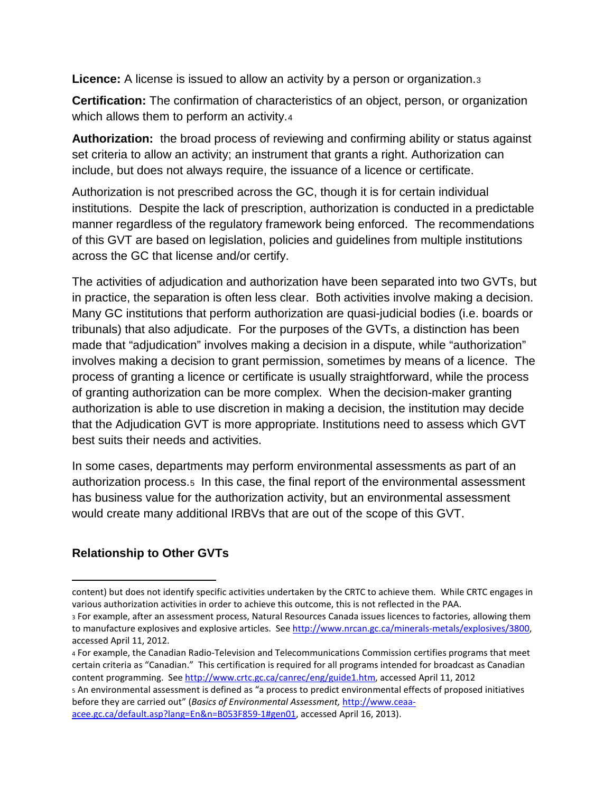**Licence:** A license is issued to allow an activity by a person or organization.[3](#page-2-0)

**Certification:** The confirmation of characteristics of an object, person, or organization which allows them to perform an activity.[4](#page-2-1)

**Authorization:** the broad process of reviewing and confirming ability or status against set criteria to allow an activity; an instrument that grants a right. Authorization can include, but does not always require, the issuance of a licence or certificate.

Authorization is not prescribed across the GC, though it is for certain individual institutions. Despite the lack of prescription, authorization is conducted in a predictable manner regardless of the regulatory framework being enforced. The recommendations of this GVT are based on legislation, policies and guidelines from multiple institutions across the GC that license and/or certify.

The activities of adjudication and authorization have been separated into two GVTs, but in practice, the separation is often less clear. Both activities involve making a decision. Many GC institutions that perform authorization are quasi-judicial bodies (i.e. boards or tribunals) that also adjudicate. For the purposes of the GVTs, a distinction has been made that "adjudication" involves making a decision in a dispute, while "authorization" involves making a decision to grant permission, sometimes by means of a licence. The process of granting a licence or certificate is usually straightforward, while the process of granting authorization can be more complex. When the decision-maker granting authorization is able to use discretion in making a decision, the institution may decide that the Adjudication GVT is more appropriate. Institutions need to assess which GVT best suits their needs and activities.

In some cases, departments may perform environmental assessments as part of an authorization process.[5](#page-2-2) In this case, the final report of the environmental assessment has business value for the authorization activity, but an environmental assessment would create many additional IRBVs that are out of the scope of this GVT.

#### **Relationship to Other GVTs**

 $\overline{\phantom{a}}$ 

<span id="page-2-2"></span>[acee.gc.ca/default.asp?lang=En&n=B053F859-1#gen01,](http://www.ceaa-acee.gc.ca/default.asp?lang=En&n=B053F859-1#gen01) accessed April 16, 2013).

content) but does not identify specific activities undertaken by the CRTC to achieve them. While CRTC engages in various authorization activities in order to achieve this outcome, this is not reflected in the PAA.

<span id="page-2-0"></span><sup>3</sup> For example, after an assessment process, Natural Resources Canada issues licences to factories, allowing them to manufacture explosives and explosive articles. Se[e http://www.nrcan.gc.ca/minerals-metals/explosives/3800,](http://www.nrcan.gc.ca/minerals-metals/explosives/3800) accessed April 11, 2012.

<span id="page-2-1"></span><sup>4</sup> For example, the Canadian Radio-Television and Telecommunications Commission certifies programs that meet certain criteria as "Canadian." This certification is required for all programs intended for broadcast as Canadian content programming. See [http://www.crtc.gc.ca/canrec/eng/guide1.htm,](http://www.crtc.gc.ca/canrec/eng/guide1.htm) accessed April 11, 2012 <sup>5</sup> An environmental assessment is defined as "a process to predict environmental effects of proposed initiatives before they are carried out" (*Basics of Environmental Assessment,* [http://www.ceaa-](http://www.ceaa-acee.gc.ca/default.asp?lang=En&n=B053F859-1#gen01)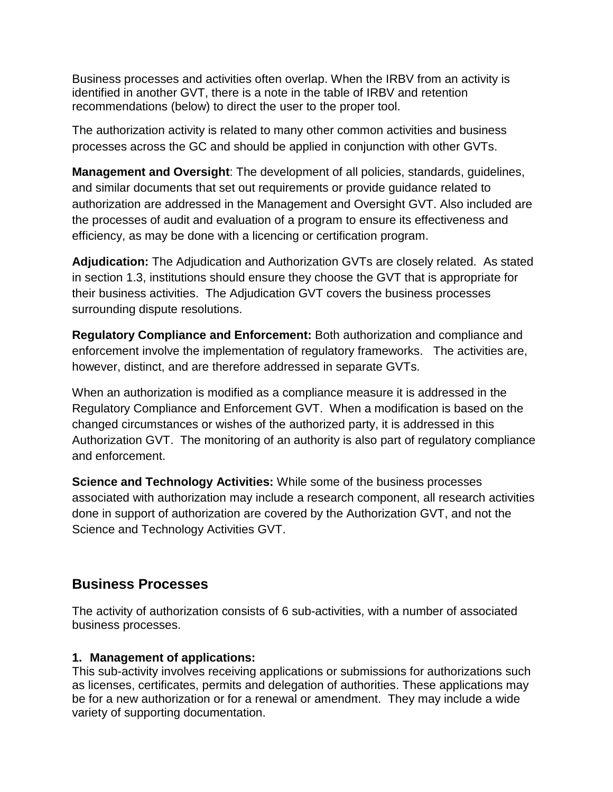Business processes and activities often overlap. When the IRBV from an activity is identified in another GVT, there is a note in the table of IRBV and retention recommendations (below) to direct the user to the proper tool.

The authorization activity is related to many other common activities and business processes across the GC and should be applied in conjunction with other GVTs.

**Management and Oversight**: The development of all policies, standards, guidelines, and similar documents that set out requirements or provide guidance related to authorization are addressed in the Management and Oversight GVT. Also included are the processes of audit and evaluation of a program to ensure its effectiveness and efficiency, as may be done with a licencing or certification program.

**Adjudication:** The Adjudication and Authorization GVTs are closely related. As stated in section 1.3, institutions should ensure they choose the GVT that is appropriate for their business activities. The Adjudication GVT covers the business processes surrounding dispute resolutions.

**Regulatory Compliance and Enforcement:** Both authorization and compliance and enforcement involve the implementation of regulatory frameworks. The activities are, however, distinct, and are therefore addressed in separate GVTs.

When an authorization is modified as a compliance measure it is addressed in the Regulatory Compliance and Enforcement GVT. When a modification is based on the changed circumstances or wishes of the authorized party, it is addressed in this Authorization GVT. The monitoring of an authority is also part of regulatory compliance and enforcement.

**Science and Technology Activities:** While some of the business processes associated with authorization may include a research component, all research activities done in support of authorization are covered by the Authorization GVT, and not the Science and Technology Activities GVT.

#### **Business Processes**

The activity of authorization consists of 6 sub-activities, with a number of associated business processes.

#### **1. Management of applications:**

This sub-activity involves receiving applications or submissions for authorizations such as licenses, certificates, permits and delegation of authorities. These applications may be for a new authorization or for a renewal or amendment. They may include a wide variety of supporting documentation.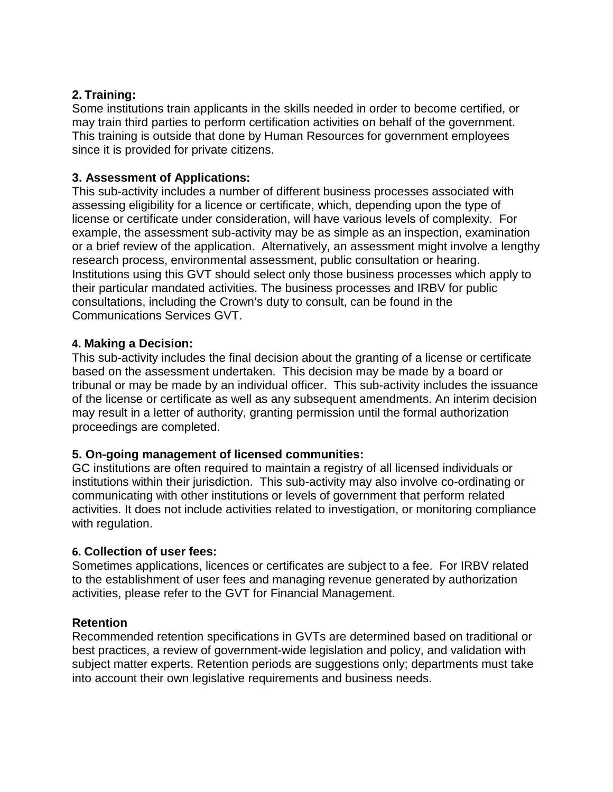#### **2. Training:**

Some institutions train applicants in the skills needed in order to become certified, or may train third parties to perform certification activities on behalf of the government. This training is outside that done by Human Resources for government employees since it is provided for private citizens.

#### **3. Assessment of Applications:**

This sub-activity includes a number of different business processes associated with assessing eligibility for a licence or certificate, which, depending upon the type of license or certificate under consideration, will have various levels of complexity. For example, the assessment sub-activity may be as simple as an inspection, examination or a brief review of the application. Alternatively, an assessment might involve a lengthy research process, environmental assessment, public consultation or hearing. Institutions using this GVT should select only those business processes which apply to their particular mandated activities. The business processes and IRBV for public consultations, including the Crown's duty to consult, can be found in the Communications Services GVT.

#### **4. Making a Decision:**

This sub-activity includes the final decision about the granting of a license or certificate based on the assessment undertaken. This decision may be made by a board or tribunal or may be made by an individual officer. This sub-activity includes the issuance of the license or certificate as well as any subsequent amendments. An interim decision may result in a letter of authority, granting permission until the formal authorization proceedings are completed.

#### **5. On-going management of licensed communities:**

GC institutions are often required to maintain a registry of all licensed individuals or institutions within their jurisdiction. This sub-activity may also involve co-ordinating or communicating with other institutions or levels of government that perform related activities. It does not include activities related to investigation, or monitoring compliance with regulation.

#### **6. Collection of user fees:**

Sometimes applications, licences or certificates are subject to a fee. For IRBV related to the establishment of user fees and managing revenue generated by authorization activities, please refer to the GVT for Financial Management.

#### **Retention**

Recommended retention specifications in GVTs are determined based on traditional or best practices, a review of government-wide legislation and policy, and validation with subject matter experts. Retention periods are suggestions only; departments must take into account their own legislative requirements and business needs.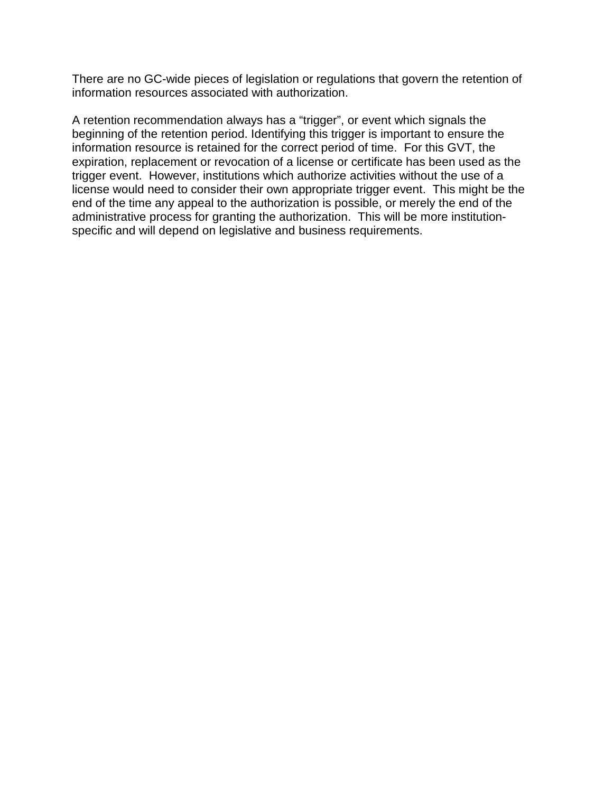There are no GC-wide pieces of legislation or regulations that govern the retention of information resources associated with authorization.

A retention recommendation always has a "trigger", or event which signals the beginning of the retention period. Identifying this trigger is important to ensure the information resource is retained for the correct period of time. For this GVT, the expiration, replacement or revocation of a license or certificate has been used as the trigger event. However, institutions which authorize activities without the use of a license would need to consider their own appropriate trigger event. This might be the end of the time any appeal to the authorization is possible, or merely the end of the administrative process for granting the authorization. This will be more institutionspecific and will depend on legislative and business requirements.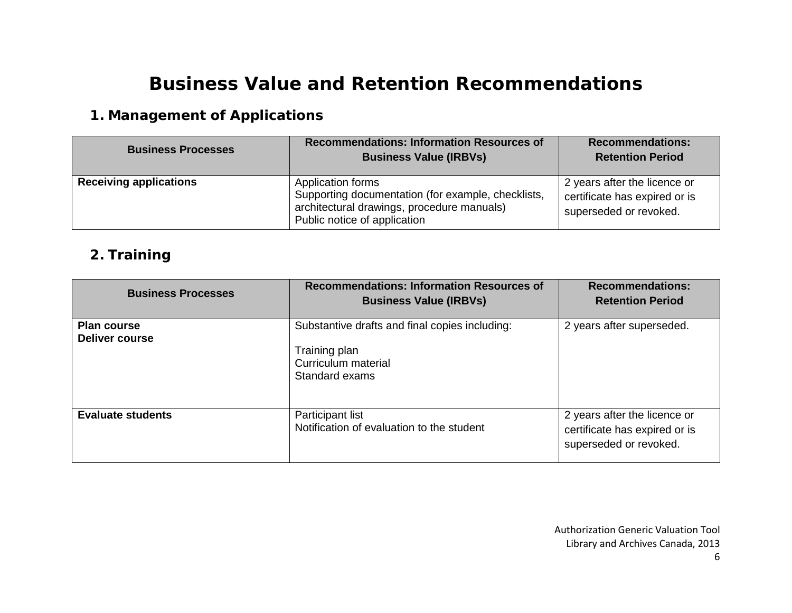## **Business Value and Retention Recommendations**

### **1. Management of Applications**

| <b>Business Processes</b>     | <b>Recommendations: Information Resources of</b><br><b>Business Value (IRBVs)</b>                                                                     | <b>Recommendations:</b><br><b>Retention Period</b>                                      |
|-------------------------------|-------------------------------------------------------------------------------------------------------------------------------------------------------|-----------------------------------------------------------------------------------------|
| <b>Receiving applications</b> | Application forms<br>Supporting documentation (for example, checklists,<br>architectural drawings, procedure manuals)<br>Public notice of application | 2 years after the licence or<br>certificate has expired or is<br>superseded or revoked. |

### **2. Training**

| <b>Business Processes</b>                   | <b>Recommendations: Information Resources of</b><br><b>Business Value (IRBVs)</b>                        | <b>Recommendations:</b><br><b>Retention Period</b>                                      |
|---------------------------------------------|----------------------------------------------------------------------------------------------------------|-----------------------------------------------------------------------------------------|
| <b>Plan course</b><br><b>Deliver course</b> | Substantive drafts and final copies including:<br>Training plan<br>Curriculum material<br>Standard exams | 2 years after superseded.                                                               |
| <b>Evaluate students</b>                    | Participant list<br>Notification of evaluation to the student                                            | 2 years after the licence or<br>certificate has expired or is<br>superseded or revoked. |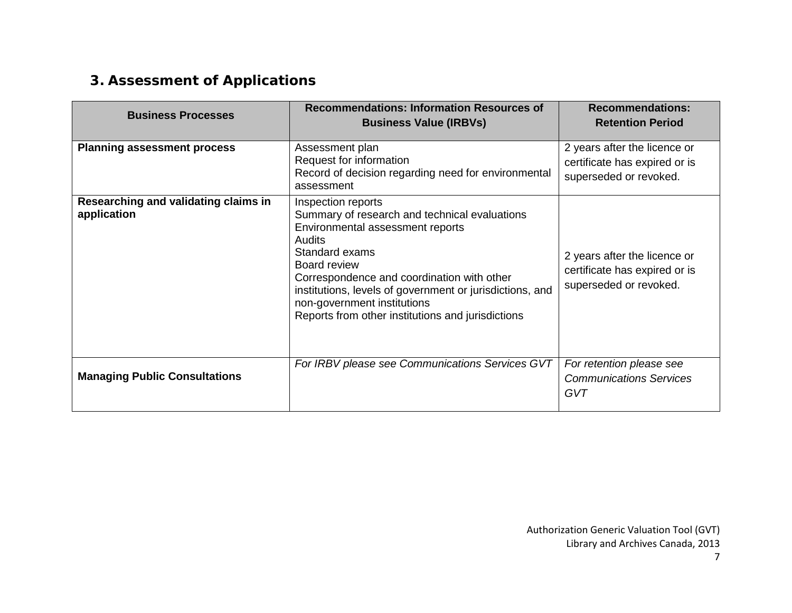### **3. Assessment of Applications**

| <b>Business Processes</b>                           | <b>Recommendations: Information Resources of</b><br><b>Business Value (IRBVs)</b>                                                                                                                                                                                                                                                                 | <b>Recommendations:</b><br><b>Retention Period</b>                                      |
|-----------------------------------------------------|---------------------------------------------------------------------------------------------------------------------------------------------------------------------------------------------------------------------------------------------------------------------------------------------------------------------------------------------------|-----------------------------------------------------------------------------------------|
| <b>Planning assessment process</b>                  | Assessment plan<br>Request for information<br>Record of decision regarding need for environmental<br>assessment                                                                                                                                                                                                                                   | 2 years after the licence or<br>certificate has expired or is<br>superseded or revoked. |
| Researching and validating claims in<br>application | Inspection reports<br>Summary of research and technical evaluations<br>Environmental assessment reports<br>Audits<br>Standard exams<br>Board review<br>Correspondence and coordination with other<br>institutions, levels of government or jurisdictions, and<br>non-government institutions<br>Reports from other institutions and jurisdictions | 2 years after the licence or<br>certificate has expired or is<br>superseded or revoked. |
| <b>Managing Public Consultations</b>                | For IRBV please see Communications Services GVT                                                                                                                                                                                                                                                                                                   | For retention please see<br><b>Communications Services</b><br>GVT                       |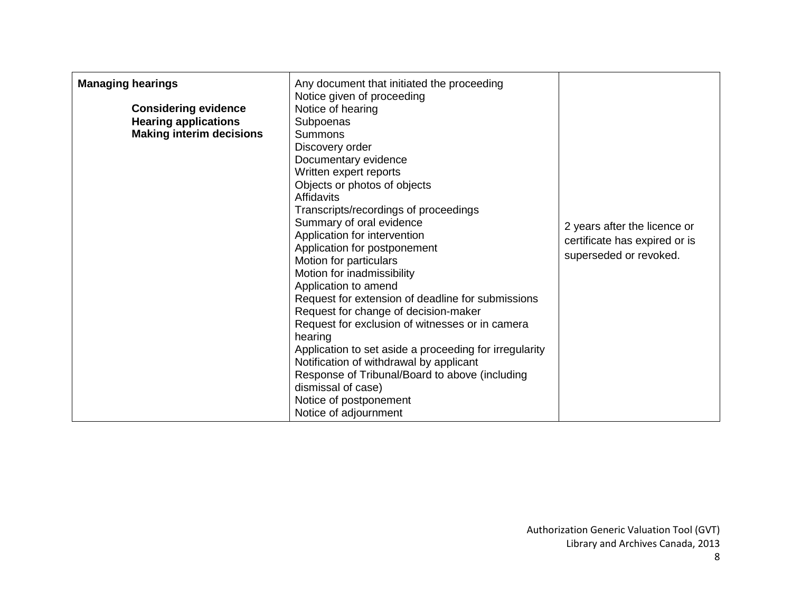| <b>Managing hearings</b><br><b>Considering evidence</b><br><b>Hearing applications</b><br><b>Making interim decisions</b> | Any document that initiated the proceeding<br>Notice given of proceeding<br>Notice of hearing<br>Subpoenas<br><b>Summons</b><br>Discovery order<br>Documentary evidence<br>Written expert reports<br>Objects or photos of objects<br>Affidavits<br>Transcripts/recordings of proceedings<br>Summary of oral evidence<br>Application for intervention<br>Application for postponement<br>Motion for particulars<br>Motion for inadmissibility<br>Application to amend<br>Request for extension of deadline for submissions<br>Request for change of decision-maker<br>Request for exclusion of witnesses or in camera<br>hearing<br>Application to set aside a proceeding for irregularity<br>Notification of withdrawal by applicant<br>Response of Tribunal/Board to above (including<br>dismissal of case) | 2 years after the licence or<br>certificate has expired or is<br>superseded or revoked. |
|---------------------------------------------------------------------------------------------------------------------------|--------------------------------------------------------------------------------------------------------------------------------------------------------------------------------------------------------------------------------------------------------------------------------------------------------------------------------------------------------------------------------------------------------------------------------------------------------------------------------------------------------------------------------------------------------------------------------------------------------------------------------------------------------------------------------------------------------------------------------------------------------------------------------------------------------------|-----------------------------------------------------------------------------------------|
|                                                                                                                           | Notice of postponement<br>Notice of adjournment                                                                                                                                                                                                                                                                                                                                                                                                                                                                                                                                                                                                                                                                                                                                                              |                                                                                         |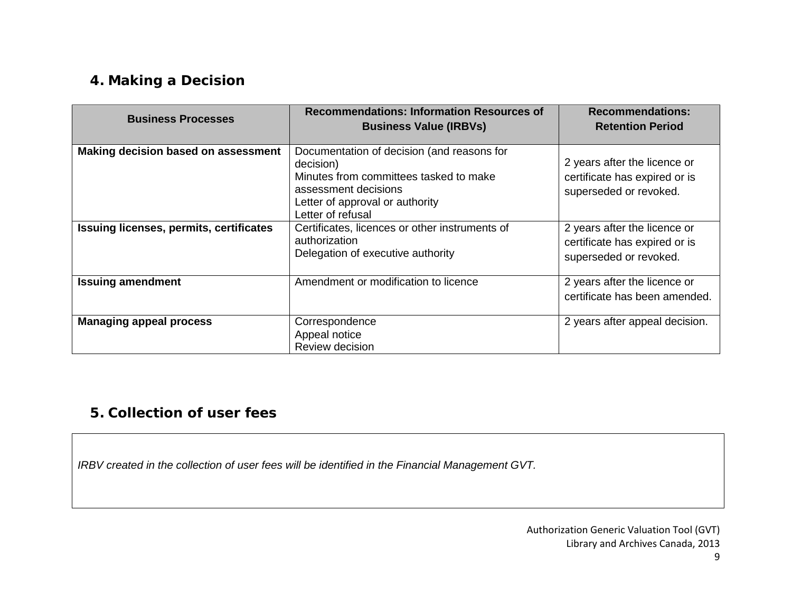### **4. Making a Decision**

| <b>Business Processes</b>               | <b>Recommendations: Information Resources of</b><br><b>Business Value (IRBVs)</b>                                                                                                 | <b>Recommendations:</b><br><b>Retention Period</b>                                      |
|-----------------------------------------|-----------------------------------------------------------------------------------------------------------------------------------------------------------------------------------|-----------------------------------------------------------------------------------------|
| Making decision based on assessment     | Documentation of decision (and reasons for<br>decision)<br>Minutes from committees tasked to make<br>assessment decisions<br>Letter of approval or authority<br>Letter of refusal | 2 years after the licence or<br>certificate has expired or is<br>superseded or revoked. |
| Issuing licenses, permits, certificates | Certificates, licences or other instruments of<br>authorization<br>Delegation of executive authority                                                                              | 2 years after the licence or<br>certificate has expired or is<br>superseded or revoked. |
| <b>Issuing amendment</b>                | Amendment or modification to licence                                                                                                                                              | 2 years after the licence or<br>certificate has been amended.                           |
| <b>Managing appeal process</b>          | Correspondence<br>Appeal notice<br>Review decision                                                                                                                                | 2 years after appeal decision.                                                          |

### **5. Collection of user fees**

*IRBV created in the collection of user fees will be identified in the Financial Management GVT.*

Authorization Generic Valuation Tool (GVT) Library and Archives Canada, 2013